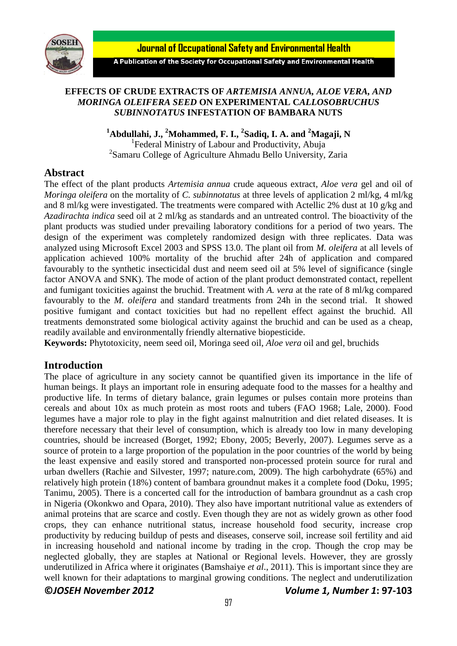

**Journal of Occupational Safety and Environmental Health** 

A Publication of the Society for Occupational Safety and Environmental Health

### **EFFECTS OF CRUDE EXTRACTS OF** *ARTEMISIA ANNUA, ALOE VERA, AND MORINGA OLEIFERA SEED* **ON EXPERIMENTAL C***ALLOSOBRUCHUS SUBINNOTATUS* **INFESTATION OF BAMBARA NUTS**

**<sup>1</sup>Abdullahi, J., <sup>2</sup>Mohammed, F. I., <sup>2</sup> Sadiq, I. A. and <sup>2</sup>Magaji, N** <sup>1</sup> Federal Ministry of Labour and Productivity, Abuja 2 Samaru College of Agriculture Ahmadu Bello University, Zaria

## **Abstract**

The effect of the plant products *Artemisia annua* crude aqueous extract*, Aloe vera* gel and oil of *Moringa oleifera* on the mortality of *C. subinnotatus* at three levels of application 2 ml/kg, 4 ml/kg and 8 ml/kg were investigated. The treatments were compared with Actellic 2% dust at 10 g/kg and *Azadirachta indica* seed oil at 2 ml/kg as standards and an untreated control. The bioactivity of the plant products was studied under prevailing laboratory conditions for a period of two years. The design of the experiment was completely randomized design with three replicates. Data was analyzed using Microsoft Excel 2003 and SPSS 13.0. The plant oil from *M. oleifera* at all levels of application achieved 100% mortality of the bruchid after 24h of application and compared favourably to the synthetic insecticidal dust and neem seed oil at 5% level of significance (single factor ANOVA and SNK). The mode of action of the plant product demonstrated contact, repellent and fumigant toxicities against the bruchid. Treatment with *A. vera* at the rate of 8 ml/kg compared favourably to the *M. oleifera* and standard treatments from 24h in the second trial. It showed positive fumigant and contact toxicities but had no repellent effect against the bruchid. All treatments demonstrated some biological activity against the bruchid and can be used as a cheap, readily available and environmentally friendly alternative biopesticide.

**Keywords:** Phytotoxicity, neem seed oil, Moringa seed oil, *Aloe vera* oil and gel, bruchids

# **Introduction**

**©***JOSEH November 2012 Volume 1, Number 1***: 97-103** The place of agriculture in any society cannot be quantified given its importance in the life of human beings. It plays an important role in ensuring adequate food to the masses for a healthy and productive life. In terms of dietary balance, grain legumes or pulses contain more proteins than cereals and about 10x as much protein as most roots and tubers (FAO 1968; Lale, 2000). Food legumes have a major role to play in the fight against malnutrition and diet related diseases. It is therefore necessary that their level of consumption, which is already too low in many developing countries, should be increased (Borget, 1992; Ebony, 2005; Beverly, 2007). Legumes serve as a source of protein to a large proportion of the population in the poor countries of the world by being the least expensive and easily stored and transported non-processed protein source for rural and urban dwellers (Rachie and Silvester, 1997; nature.com, 2009). The high carbohydrate (65%) and relatively high protein (18%) content of bambara groundnut makes it a complete food (Doku, 1995; Tanimu, 2005). There is a concerted call for the introduction of bambara groundnut as a cash crop in Nigeria (Okonkwo and Opara, 2010). They also have important nutritional value as extenders of animal proteins that are scarce and costly. Even though they are not as widely grown as other food crops, they can enhance nutritional status, increase household food security, increase crop productivity by reducing buildup of pests and diseases, conserve soil, increase soil fertility and aid in increasing household and national income by trading in the crop. Though the crop may be neglected globally, they are staples at National or Regional levels. However, they are grossly underutilized in Africa where it originates (Bamshaiye *et al*., 2011). This is important since they are well known for their adaptations to marginal growing conditions. The neglect and underutilization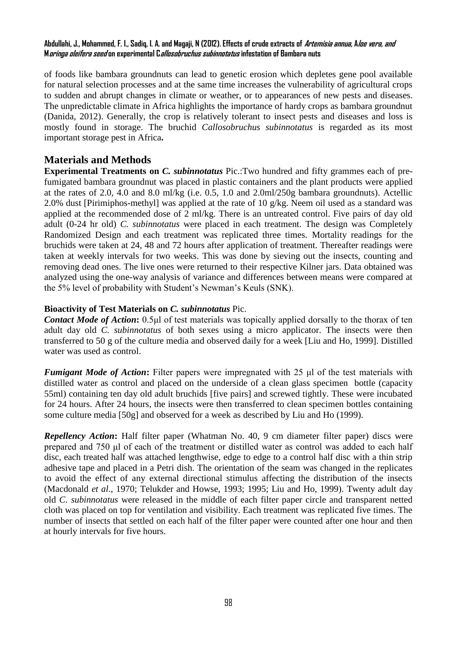### **Abdullahi, J., Mohammed, F. I., Sadiq, I. A. and Magaji, N (2012). Effects of crude extracts of Artemisia annua, Aloe vera, and Moringa oleifera seed on experimental Callosobruchus subinnotatus infestation of Bambara nuts**

of foods like bambara groundnuts can lead to genetic erosion which depletes gene pool available for natural selection processes and at the same time increases the vulnerability of agricultural crops to sudden and abrupt changes in climate or weather, or to appearances of new pests and diseases. The unpredictable climate in Africa highlights the importance of hardy crops as bambara groundnut (Danida, 2012). Generally, the crop is relatively tolerant to insect pests and diseases and loss is mostly found in storage. The bruchid *Callosobruchus subinnotatus* is regarded as its most important storage pest in Africa**.**

# **Materials and Methods**

**Experimental Treatments on** *C. subinnotatus* Pic.:Two hundred and fifty grammes each of prefumigated bambara groundnut was placed in plastic containers and the plant products were applied at the rates of 2.0, 4.0 and 8.0 ml/kg (i.e. 0.5, 1.0 and 2.0ml/250g bambara groundnuts). Actellic 2.0% dust [Pirimiphos-methyl] was applied at the rate of 10 g/kg. Neem oil used as a standard was applied at the recommended dose of 2 ml/kg. There is an untreated control. Five pairs of day old adult (0-24 hr old) *C. subinnotatus* were placed in each treatment. The design was Completely Randomized Design and each treatment was replicated three times. Mortality readings for the bruchids were taken at 24, 48 and 72 hours after application of treatment. Thereafter readings were taken at weekly intervals for two weeks. This was done by sieving out the insects, counting and removing dead ones. The live ones were returned to their respective Kilner jars. Data obtained was analyzed using the one-way analysis of variance and differences between means were compared at the 5% level of probability with Student's Newman's Keuls (SNK).

## **Bioactivity of Test Materials on** *C. subinnotatus* Pic.

*Contact Mode of Action***:** 0.5μl of test materials was topically applied dorsally to the thorax of ten adult day old *C. subinnotatus* of both sexes using a micro applicator. The insects were then transferred to 50 g of the culture media and observed daily for a week [Liu and Ho, 1999]. Distilled water was used as control.

*Fumigant Mode of Action***:** Filter papers were impregnated with 25 μl of the test materials with distilled water as control and placed on the underside of a clean glass specimen bottle (capacity 55ml) containing ten day old adult bruchids [five pairs] and screwed tightly. These were incubated for 24 hours. After 24 hours, the insects were then transferred to clean specimen bottles containing some culture media [50g] and observed for a week as described by Liu and Ho (1999).

*Repellency Action***:** Half filter paper (Whatman No. 40, 9 cm diameter filter paper) discs were prepared and 750 μl of each of the treatment or distilled water as control was added to each half disc, each treated half was attached lengthwise, edge to edge to a control half disc with a thin strip adhesive tape and placed in a Petri dish. The orientation of the seam was changed in the replicates to avoid the effect of any external directional stimulus affecting the distribution of the insects (Macdonald *et al*., 1970; Telukder and Howse, 1993; 1995; Liu and Ho, 1999). Twenty adult day old *C. subinnotatus* were released in the middle of each filter paper circle and transparent netted cloth was placed on top for ventilation and visibility. Each treatment was replicated five times. The number of insects that settled on each half of the filter paper were counted after one hour and then at hourly intervals for five hours.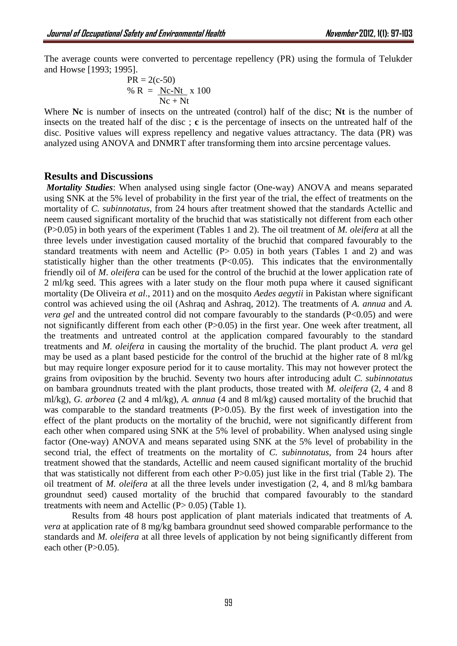The average counts were converted to percentage repellency (PR) using the formula of Telukder and Howse [1993; 1995].

$$
PR = 2(c-50)
$$
  
% R = NC-Nt x 100  
NC + Nt

Where **Nc** is number of insects on the untreated (control) half of the disc; **Nt** is the number of insects on the treated half of the disc ; **c** is the percentage of insects on the untreated half of the disc. Positive values will express repellency and negative values attractancy. The data (PR) was analyzed using ANOVA and DNMRT after transforming them into arcsine percentage values.

## **Results and Discussions**

*Mortality Studies*: When analysed using single factor (One-way) ANOVA and means separated using SNK at the 5% level of probability in the first year of the trial, the effect of treatments on the mortality of *C. subinnotatus,* from 24 hours after treatment showed that the standards Actellic and neem caused significant mortality of the bruchid that was statistically not different from each other (P>0.05) in both years of the experiment (Tables 1 and 2). The oil treatment of *M. oleifera* at all the three levels under investigation caused mortality of the bruchid that compared favourably to the standard treatments with neem and Actellic  $(P> 0.05)$  in both years (Tables 1 and 2) and was statistically higher than the other treatments  $(P<0.05)$ . This indicates that the environmentally friendly oil of *M*. *oleifera* can be used for the control of the bruchid at the lower application rate of 2 ml/kg seed. This agrees with a later study on the flour moth pupa where it caused significant mortality (De Oliveira *et al*., 2011) and on the mosquito *Aedes aegytii* in Pakistan where significant control was achieved using the oil (Ashraq and Ashraq, 2012). The treatments of *A. annua* and *A. vera gel* and the untreated control did not compare favourably to the standards (P<0.05) and were not significantly different from each other (P>0.05) in the first year. One week after treatment, all the treatments and untreated control at the application compared favourably to the standard treatments and *M. oleifera* in causing the mortality of the bruchid. The plant product *A. vera* gel may be used as a plant based pesticide for the control of the bruchid at the higher rate of 8 ml/kg but may require longer exposure period for it to cause mortality. This may not however protect the grains from oviposition by the bruchid. Seventy two hours after introducing adult *C. subinnotatus*  on bambara groundnuts treated with the plant products, those treated with *M. oleifera* (2, 4 and 8 ml/kg), *G. arborea* (2 and 4 ml/kg), *A. annua* (4 and 8 ml/kg) caused mortality of the bruchid that was comparable to the standard treatments (P>0.05). By the first week of investigation into the effect of the plant products on the mortality of the bruchid, were not significantly different from each other when compared using SNK at the 5% level of probability. When analysed using single factor (One-way) ANOVA and means separated using SNK at the 5% level of probability in the second trial, the effect of treatments on the mortality of *C. subinnotatus,* from 24 hours after treatment showed that the standards, Actellic and neem caused significant mortality of the bruchid that was statistically not different from each other P>0.05) just like in the first trial (Table 2). The oil treatment of *M. oleifera* at all the three levels under investigation (2, 4, and 8 ml/kg bambara groundnut seed) caused mortality of the bruchid that compared favourably to the standard treatments with neem and Actellic  $(P> 0.05)$  (Table 1).

Results from 48 hours post application of plant materials indicated that treatments of *A. vera* at application rate of 8 mg/kg bambara groundnut seed showed comparable performance to the standards and *M. oleifera* at all three levels of application by not being significantly different from each other  $(P>0.05)$ .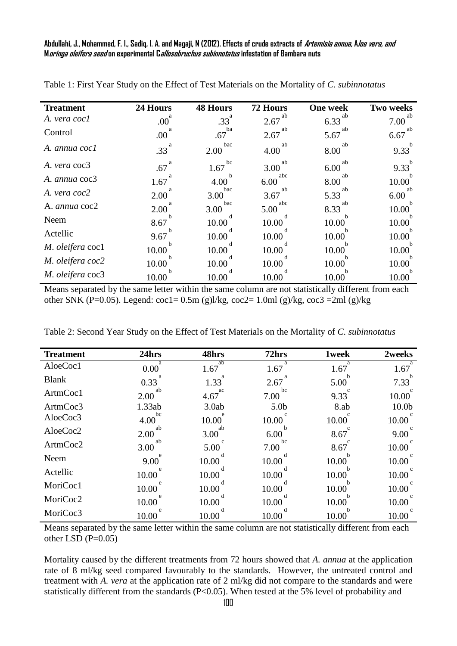**Abdullahi, J., Mohammed, F. I., Sadiq, I. A. and Magaji, N (2012). Effects of crude extracts of Artemisia annua, Aloe vera, and Moringa oleifera seed on experimental Callosobruchus subinnotatus infestation of Bambara nuts**

| <b>Treatment</b> | 24 Hours         | <b>48 Hours</b> | <b>72 Hours</b> | <b>One week</b> | <b>Two weeks</b> |
|------------------|------------------|-----------------|-----------------|-----------------|------------------|
| A. vera cocl     | .00 <sup>°</sup> | .33             | ab<br>2.67      | ab<br>6.33      | ab<br>7.00       |
| Control          | .00 <sub>1</sub> | ba<br>.67       | ab<br>2.67      | ab<br>5.67      | ab<br>6.67       |
| A. annua cocl    | .33 <sup>2</sup> | bac<br>2.00     | ab<br>4.00      | ab<br>8.00      | 9.33             |
| A. vera coc3     | a<br>.67         | bc<br>1.67      | ab<br>3.00      | ab<br>6.00      | $9.33^{b}$       |
| A. annua coc3    | 1.67             | 4.00            | abc<br>6.00     | ab<br>8.00      | 10.00            |
| A. vera coc2     | 2.00             | bac<br>3.00     | ab<br>3.67      | ab<br>5.33      | ab<br>6.00       |
| A. annua coc2    | 2.00             | bac<br>3.00     | abc<br>5.00     | ab<br>8.33      | 10.00            |
| Neem             | 8.67             | 10.00           | 10.00           | 10.00           | 10.00            |
| Actellic         | 9.67             | 10.00           | 10.00           | 10.00           | 10.00            |
| M. oleifera coc1 | 10.00            | 10.00           | 10.00           | 10.00           | 10.00            |
| M. oleifera coc2 | 10.00            | 10.00           | 10.00           | 10.00           | 10.00            |
| M. oleifera coc3 | 10.00            | 10.00           | 10.00           | 10.00           | 10.00            |

Table 1: First Year Study on the Effect of Test Materials on the Mortality of *C. subinnotatus*

Means separated by the same letter within the same column are not statistically different from each other SNK (P=0.05). Legend:  $\cot 1 = 0.5$ m (g) $1/kg$ ,  $\cot 2 = 1.0$ ml (g) $/kg$ ,  $\cot 3 = 2$ ml (g) $/kg$ 

| Table 2: Second Year Study on the Effect of Test Materials on the Mortality of C. subinnotatus |  |  |  |
|------------------------------------------------------------------------------------------------|--|--|--|
|                                                                                                |  |  |  |

| <b>Treatment</b> | 24hrs               | 48hrs      | 72hrs            | <b>1week</b> | 2weeks            |
|------------------|---------------------|------------|------------------|--------------|-------------------|
| AloeCoc1         | a<br>$0.00^{\circ}$ | ab<br>1.67 | 1.67             | a<br>1.67    | 1.67              |
| <b>Blank</b>     | 0.33                | 1.33       | 2.67             | 5.00         | 7.33              |
| ArtmCoc1         | ab<br>2.00          | ac<br>4.67 | bc<br>7.00       | 9.33         | 10.00             |
| ArtmCoc3         | 1.33ab              | 3.0ab      | 5.0 <sub>b</sub> | 8.ab         | 10.0 <sub>b</sub> |
| AloeCoc3         | bc<br>4.00          | 10.00      | 10.00            | 10.00        | 10.00             |
| AloeCoc2         | ab<br>2.00          | ab<br>3.00 | 6.00             | 8.67         | 9.00              |
| ArtmCoc2         | ab<br>3.00          | 5.00       | bc<br>7.00       | 8.67         | 10.00             |
| Neem             | 9.00                | 10.00      | 10.00            | 10.00        | 10.00             |
| Actellic         | 10.00               | 10.00      | 10.00            | 10.00        | 10.00             |
| MoriCoc1         | 10.00               | 10.00      | 10.00            | 10.00        | 10.00             |
| MoriCoc2         | 10.00               | 10.00      | 10.00            | 10.00        | 10.00             |
| MoriCoc3         | 10.00               | 10.00      | 10.00            | 10.00        | 10.00             |

Means separated by the same letter within the same column are not statistically different from each other LSD  $(P=0.05)$ 

Mortality caused by the different treatments from 72 hours showed that *A. annua* at the application rate of 8 ml/kg seed compared favourably to the standards. However, the untreated control and treatment with *A. vera* at the application rate of 2 ml/kg did not compare to the standards and were statistically different from the standards (P<0.05). When tested at the 5% level of probability and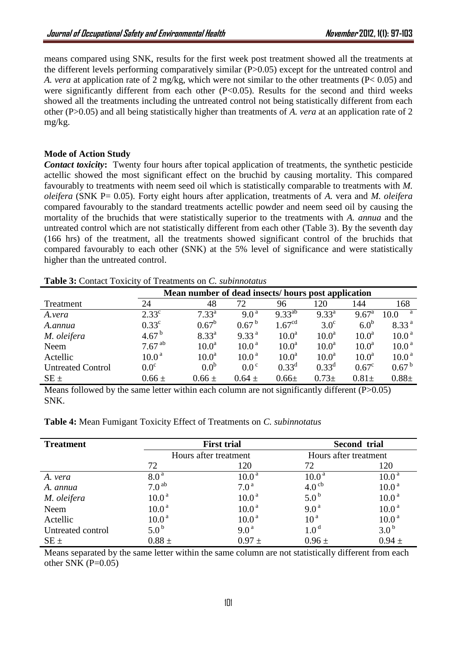means compared using SNK, results for the first week post treatment showed all the treatments at the different levels performing comparatively similar (P>0.05) except for the untreated control and *A. vera* at application rate of 2 mg/kg, which were not similar to the other treatments (P< 0.05) and were significantly different from each other  $(P<0.05)$ . Results for the second and third weeks showed all the treatments including the untreated control not being statistically different from each other (P>0.05) and all being statistically higher than treatments of *A. vera* at an application rate of 2 mg/kg.

## **Mode of Action Study**

*Contact toxicity***:** Twenty four hours after topical application of treatments, the synthetic pesticide actellic showed the most significant effect on the bruchid by causing mortality. This compared favourably to treatments with neem seed oil which is statistically comparable to treatments with *M. oleifera* (SNK P= 0.05). Forty eight hours after application, treatments of *A.* vera and *M. oleifera* compared favourably to the standard treatments actellic powder and neem seed oil by causing the mortality of the bruchids that were statistically superior to the treatments with *A. annua* and the untreated control which are not statistically different from each other (Table 3). By the seventh day (166 hrs) of the treatment, all the treatments showed significant control of the bruchids that compared favourably to each other (SNK) at the 5% level of significance and were statistically higher than the untreated control.

|                          |                   | Mean number of dead insects/hours post application |                   |                    |                   |                   |                   |
|--------------------------|-------------------|----------------------------------------------------|-------------------|--------------------|-------------------|-------------------|-------------------|
| Treatment                | 24                | 48                                                 | 72                | 96                 | 120               | 144               | 168               |
| A.vera                   | $2.33^{\circ}$    | $7.33^{a}$                                         | $9.0^{\text{a}}$  | $9.33^{ab}$        | $9.33^{a}$        | $9.67^{\text{a}}$ | a<br>10.0         |
| A.annua                  | $0.33^{\circ}$    | $0.67^b$                                           | $0.67^{b}$        | 1.67 <sup>cd</sup> | $3.0^\circ$       | 6.0 <sup>b</sup>  | 8.33 <sup>a</sup> |
| M. oleifera              | $4.67^{b}$        | $8.33^{a}$                                         | 9.33 <sup>a</sup> | 10.0 <sup>a</sup>  | 10.0 <sup>a</sup> | 10.0 <sup>a</sup> | 10.0 <sup>a</sup> |
| Neem                     | $7.67^{ab}$       | 10.0 <sup>a</sup>                                  | 10.0 <sup>a</sup> | 10.0 <sup>a</sup>  | 10.0 <sup>a</sup> | 10.0 <sup>a</sup> | 10.0 <sup>a</sup> |
| Actellic                 | 10.0 <sup>a</sup> | 10.0 <sup>a</sup>                                  | 10.0 <sup>a</sup> | 10.0 <sup>a</sup>  | 10.0 <sup>a</sup> | 10.0 <sup>a</sup> | 10.0 <sup>a</sup> |
| <b>Untreated Control</b> | 0.0 <sup>c</sup>  | 0.0 <sup>b</sup>                                   | $0.0^\circ$       | $0.33^d$           | $0.33^d$          | $0.67^{\circ}$    | $0.67^{b}$        |
| $SE \pm$                 | $0.66 \pm$        | $0.66 \pm$                                         | $0.64 \pm$        | $0.66 \pm$         | $0.73 \pm$        | $0.81 \pm$        | $0.88 +$          |

**Table 3:** Contact Toxicity of Treatments on *C. subinnotatus*

Means followed by the same letter within each column are not significantly different  $(P>0.05)$ SNK.

**Table 4:** Mean Fumigant Toxicity Effect of Treatments on *C. subinnotatus*

| <b>Treatment</b>  | <b>First trial</b>    |                   | Second trial          |                   |  |
|-------------------|-----------------------|-------------------|-----------------------|-------------------|--|
|                   | Hours after treatment |                   | Hours after treatment |                   |  |
|                   | 72                    | 120               | 72                    | 120               |  |
| A. vera           | 8.0 <sup>a</sup>      | 10.0 <sup>a</sup> | 10.0 <sup>a</sup>     | 10.0 <sup>a</sup> |  |
| A. annua          | 7.0 <sup>ab</sup>     | 7.0 <sup>a</sup>  | 4.0 <sup>cb</sup>     | 10.0 <sup>a</sup> |  |
| M. oleifera       | 10.0 <sup>a</sup>     | 10.0 <sup>a</sup> | $5.0^{\rm b}$         | 10.0 <sup>a</sup> |  |
| Neem              | 10.0 <sup>a</sup>     | 10.0 <sup>a</sup> | 9.0 <sup>a</sup>      | 10.0 <sup>a</sup> |  |
| Actellic          | 10.0 <sup>a</sup>     | 10.0 <sup>a</sup> | 10 <sup>a</sup>       | 10.0 <sup>a</sup> |  |
| Untreated control | $5.0^{\rm b}$         | 9.0 <sup>a</sup>  | 1.0 <sup>d</sup>      | 3.0 <sup>b</sup>  |  |
| $SE \pm$          | $0.88 \pm$            | $0.97 \pm$        | $0.96 \pm$            | $0.94 \pm$        |  |

Means separated by the same letter within the same column are not statistically different from each other SNK  $(P=0.05)$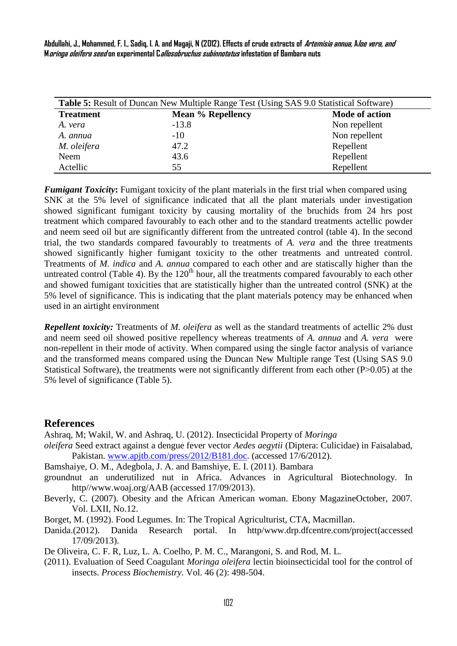**Abdullahi, J., Mohammed, F. I., Sadiq, I. A. and Magaji, N (2012). Effects of crude extracts of Artemisia annua, Aloe vera, and Moringa oleifera seed on experimental Callosobruchus subinnotatus infestation of Bambara nuts**

| <b>Table 5:</b> Result of Duncan New Multiple Range Test (Using SAS 9.0 Statistical Software) |                          |                       |  |  |
|-----------------------------------------------------------------------------------------------|--------------------------|-----------------------|--|--|
| <b>Treatment</b>                                                                              | <b>Mean % Repellency</b> | <b>Mode of action</b> |  |  |
| A. vera                                                                                       | $-13.8$                  | Non repellent         |  |  |
| A. annua                                                                                      | $-10$                    | Non repellent         |  |  |
| M. oleifera                                                                                   | 47.2                     | Repellent             |  |  |
| Neem                                                                                          | 43.6                     | Repellent             |  |  |
| Actellic                                                                                      | 55                       | Repellent             |  |  |

*Fumigant Toxicity***:** Fumigant toxicity of the plant materials in the first trial when compared using SNK at the 5% level of significance indicated that all the plant materials under investigation showed significant fumigant toxicity by causing mortality of the bruchids from 24 hrs post treatment which compared favourably to each other and to the standard treatments actellic powder and neem seed oil but are significantly different from the untreated control (table 4). In the second trial, the two standards compared favourably to treatments of *A. vera* and the three treatments showed significantly higher fumigant toxicity to the other treatments and untreated control. Treatments of *M. indica* and *A. annua* compared to each other and are statiscally higher than the untreated control (Table 4). By the  $120<sup>th</sup>$  hour, all the treatments compared favourably to each other and showed fumigant toxicities that are statistically higher than the untreated control (SNK) at the 5% level of significance. This is indicating that the plant materials potency may be enhanced when used in an airtight environment

*Repellent toxicity:* Treatments of *M. oleifera* as well as the standard treatments of actellic 2% dust and neem seed oil showed positive repellency whereas treatments of *A. annua* and *A. vera* were non-repellent in their mode of activity. When compared using the single factor analysis of variance and the transformed means compared using the Duncan New Multiple range Test (Using SAS 9.0 Statistical Software), the treatments were not significantly different from each other (P>0.05) at the 5% level of significance (Table 5).

## **References**

Ashraq, M; Wakil, W. and Ashraq, U. (2012). Insecticidal Property of *Moringa* 

*oleifera* Seed extract against a dengue fever vector *Aedes aegytii* (Diptera: Culicidae) in Faisalabad, Pakistan. [www.apjtb.com/press/2012/B181.doc.](http://www.apjtb.com/press/2012/B181.doc) (accessed 17/6/2012).

Bamshaiye, O. M., Adegbola, J. A. and Bamshiye, E. I. (2011). Bambara

- groundnut an underutilized nut in Africa. Advances in Agricultural Biotechnology. In http//www.woaj.org/AAB (accessed 17/09/2013).
- Beverly, C. (2007). Obesity and the African American woman. Ebony MagazineOctober, 2007. Vol. LXII, No.12.
- Borget, M. (1992). Food Legumes. In: The Tropical Agriculturist, CTA, Macmillan.
- Danida.(2012). Danida Research portal. In http/www.drp.dfcentre.com/project(accessed 17/09/2013).

De Oliveira, C. F. R, Luz, L. A. Coelho, P. M. C., Marangoni, S. and Rod, M. L.

(2011). Evaluation of Seed Coagulant *Moringa oleifera* lectin bioinsecticidal tool for the control of insects. *Process Biochemistry.* Vol. 46 (2): 498-504.